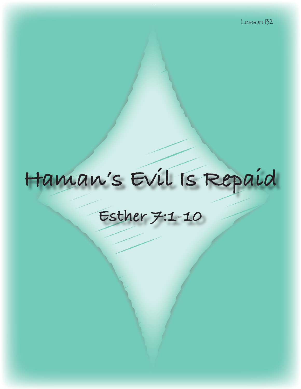# Haman's Evil Is Repaid

## Esther 7:1-10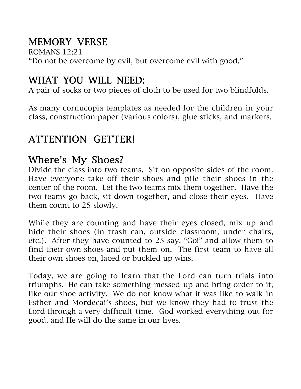## MEMORY VERSE

ROMANS 12:21 "Do not be overcome by evil, but overcome evil with good."

#### WHAT YOU WILL NEED:

A pair of socks or two pieces of cloth to be used for two blindfolds.

As many cornucopia templates as needed for the children in your class, construction paper (various colors), glue sticks, and markers.

### ATTENTION GETTER!

#### Where's My Shoes?

Divide the class into two teams. Sit on opposite sides of the room. Have everyone take off their shoes and pile their shoes in the center of the room. Let the two teams mix them together. Have the two teams go back, sit down together, and close their eyes. Have them count to 25 slowly.

While they are counting and have their eyes closed, mix up and hide their shoes (in trash can, outside classroom, under chairs, etc.). After they have counted to 25 say, "Go!" and allow them to find their own shoes and put them on. The first team to have all their own shoes on, laced or buckled up wins.

Today, we are going to learn that the Lord can turn trials into triumphs. He can take something messed up and bring order to it, like our shoe activity. We do not know what it was like to walk in Esther and Mordecai's shoes, but we know they had to trust the Lord through a very difficult time. God worked everything out for good, and He will do the same in our lives.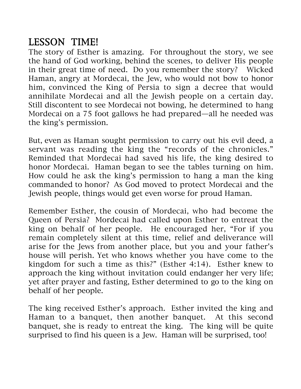#### LESSON TIME!

The story of Esther is amazing. For throughout the story, we see the hand of God working, behind the scenes, to deliver His people in their great time of need. Do you remember the story? Wicked Haman, angry at Mordecai, the Jew, who would not bow to honor him, convinced the King of Persia to sign a decree that would annihilate Mordecai and all the Jewish people on a certain day. Still discontent to see Mordecai not bowing, he determined to hang Mordecai on a 75 foot gallows he had prepared—all he needed was the king's permission.

But, even as Haman sought permission to carry out his evil deed, a servant was reading the king the "records of the chronicles." Reminded that Mordecai had saved his life, the king desired to honor Mordecai. Haman began to see the tables turning on him. How could he ask the king's permission to hang a man the king commanded to honor? As God moved to protect Mordecai and the Jewish people, things would get even worse for proud Haman.

Remember Esther, the cousin of Mordecai, who had become the Queen of Persia? Mordecai had called upon Esther to entreat the king on behalf of her people. He encouraged her, "For if you remain completely silent at this time, relief and deliverance will arise for the Jews from another place, but you and your father's house will perish. Yet who knows whether you have come to the kingdom for such a time as this?" (Esther 4:14). Esther knew to approach the king without invitation could endanger her very life; yet after prayer and fasting, Esther determined to go to the king on behalf of her people.

The king received Esther's approach. Esther invited the king and Haman to a banquet, then another banquet. At this second banquet, she is ready to entreat the king. The king will be quite surprised to find his queen is a Jew. Haman will be surprised, too!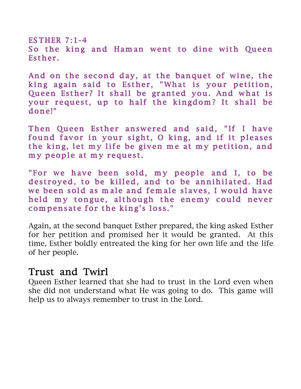ESTHER  $7:1-4$ So the king and Haman went to dine with Queen Esther.

And on the second day, at the banquet of wine, the king again said to Esther, "What is your petition, Queen Esther? It shall be granted you. And what is your request, up to half the kingdom? It shall be done!"

Then Queen Esther answered and said, "If I have found favor in your sight, O king, and if it pleases the king, let my life be given me at my petition, and my people at my request.

"For we have been sold, my people and I, to be destroyed, to be killed, and to be annihilated. Had we been sold as male and female slaves, I would have held my tongue, although the enemy could never compensate for the king's loss."

Again, at the second banquet Esther prepared, the king asked Esther for her petition and promised her it would be granted. At this time, Esther boldly entreated the king for her own life and the life of her people.

#### Trust and Twirl

Queen Esther learned that she had to trust in the Lord even when she did not understand what He was going to do. This game will help us to always remember to trust in the Lord.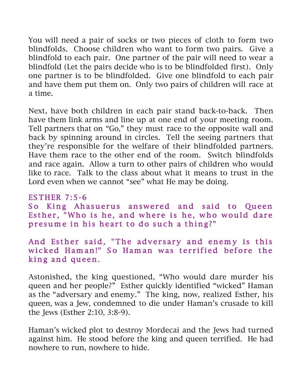You will need a pair of socks or two pieces of cloth to form two blindfolds. Choose children who want to form two pairs. Give a blindfold to each pair. One partner of the pair will need to wear a blindfold (Let the pairs decide who is to be blindfolded first). Only one partner is to be blindfolded. Give one blindfold to each pair and have them put them on. Only two pairs of children will race at a time.

Next, have both children in each pair stand back-to-back. Then have them link arms and line up at one end of your meeting room. Tell partners that on "Go," they must race to the opposite wall and back by spinning around in circles. Tell the seeing partners that they're responsible for the welfare of their blindfolded partners. Have them race to the other end of the room. Switch blindfolds and race again. Allow a turn to other pairs of children who would like to race. Talk to the class about what it means to trust in the Lord even when we cannot "see" what He may be doing.

# ES THER 7:5-6

So King Ahasuerus answered and said to Queen Esther, "Who is he, and where is he, who would dare presume in his heart to do such a thing?"

#### And Esther said, "The adversary and enemy is this wicked Haman!" So Haman was terrified before the king and queen.

Astonished, the king questioned, "Who would dare murder his queen and her people?" Esther quickly identified "wicked" Haman as the "adversary and enemy." The king, now, realized Esther, his queen, was a Jew, condemned to die under Haman's crusade to kill the Jews (Esther 2:10, 3:8-9).

Haman's wicked plot to destroy Mordecai and the Jews had turned against him. He stood before the king and queen terrified. He had nowhere to run, nowhere to hide.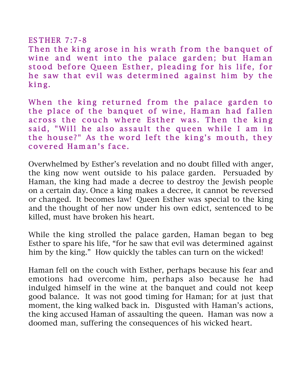#### ES THER 7:7-8

Then the king arose in his wrath from the banquet of wine and went into the palace garden; but Haman stood before Queen Esther, pleading for his life, for he saw that evil was determined against him by the king.

When the king returned from the palace garden to the place of the banquet of wine, Ham an had fallen across the couch where Esther was. Then the king said, "Will he also assault the queen while I am in the house?" As the word left the king's mouth, they covered Haman's face.

Overwhelmed by Esther's revelation and no doubt filled with anger, the king now went outside to his palace garden. Persuaded by Haman, the king had made a decree to destroy the Jewish people on a certain day. Once a king makes a decree, it cannot be reversed or changed. It becomes law! Queen Esther was special to the king and the thought of her now under his own edict, sentenced to be killed, must have broken his heart.

While the king strolled the palace garden, Haman began to beg Esther to spare his life, "for he saw that evil was determined against him by the king." How quickly the tables can turn on the wicked!

Haman fell on the couch with Esther, perhaps because his fear and emotions had overcome him, perhaps also because he had indulged himself in the wine at the banquet and could not keep good balance. It was not good timing for Haman; for at just that moment, the king walked back in. Disgusted with Haman's actions, the king accused Haman of assaulting the queen. Haman was now a doomed man, suffering the consequences of his wicked heart.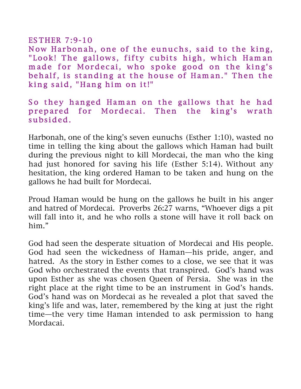#### ES THER 7:9-10

Now Harbonah, one of the eunuchs, said to the king, "Look! The gallows, fifty cubits high, which Haman made for Mordecai, who spoke good on the king's behalf, is standing at the house of Haman." Then the king said, "Hang him on it!"

#### So they hanged Haman on the gallows that he had prepared for Mordecai. Then the king's wrath subsided.

Harbonah, one of the king's seven eunuchs (Esther 1:10), wasted no time in telling the king about the gallows which Haman had built during the previous night to kill Mordecai, the man who the king had just honored for saving his life (Esther 5:14). Without any hesitation, the king ordered Haman to be taken and hung on the gallows he had built for Mordecai.

Proud Haman would be hung on the gallows he built in his anger and hatred of Mordecai. Proverbs 26:27 warns, "Whoever digs a pit will fall into it, and he who rolls a stone will have it roll back on him."

God had seen the desperate situation of Mordecai and His people. God had seen the wickedness of Haman—his pride, anger, and hatred. As the story in Esther comes to a close, we see that it was God who orchestrated the events that transpired. God's hand was upon Esther as she was chosen Queen of Persia. She was in the right place at the right time to be an instrument in God's hands. God's hand was on Mordecai as he revealed a plot that saved the king's life and was, later, remembered by the king at just the right time—the very time Haman intended to ask permission to hang Mordacai.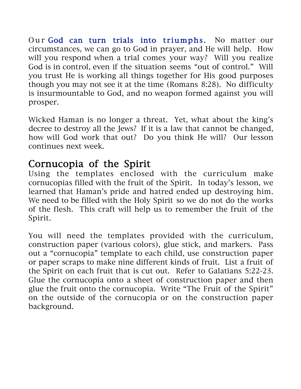Our God can turn trials into triumphs. No matter our circumstances, we can go to God in prayer, and He will help. How will you respond when a trial comes your way? Will you realize God is in control, even if the situation seems "out of control." Will you trust He is working all things together for His good purposes though you may not see it at the time (Romans 8:28). No difficulty is insurmountable to God, and no weapon formed against you will prosper.

Wicked Haman is no longer a threat. Yet, what about the king's decree to destroy all the Jews? If it is a law that cannot be changed, how will God work that out? Do you think He will? Our lesson continues next week.

#### Cornucopia of the Spirit

Using the templates enclosed with the curriculum make cornucopias filled with the fruit of the Spirit. In today's lesson, we learned that Haman's pride and hatred ended up destroying him. We need to be filled with the Holy Spirit so we do not do the works of the flesh. This craft will help us to remember the fruit of the Spirit.

You will need the templates provided with the curriculum, construction paper (various colors), glue stick, and markers. Pass out a "cornucopia" template to each child, use construction paper or paper scraps to make nine different kinds of fruit. List a fruit of the Spirit on each fruit that is cut out. Refer to Galatians 5:22-23. Glue the cornucopia onto a sheet of construction paper and then glue the fruit onto the cornucopia. Write "The Fruit of the Spirit" on the outside of the cornucopia or on the construction paper background.